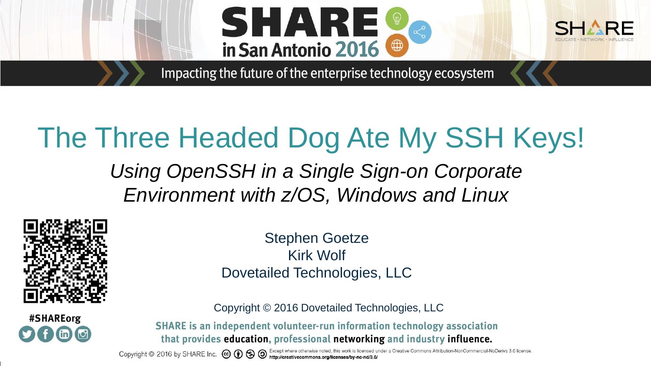



Impacting the future of the enterprise technology ecosystem

# The Three Headed Dog Ate My SSH Keys!

*Using OpenSSH in a Single Sign-on Corporate Environment with z/OS, Windows and Linux*



#SHAREorg

Stephen Goetze Kirk Wolf Dovetailed Technologies, LLC

Copyright © 2016 Dovetailed Technologies, LLC

SHARE is an independent volunteer-run information technology association that provides education, professional networking and industry influence.

Copyright © 2016 by SHARE Inc. CO O SHO Except where otherwise noted, this work is licensed under a Creative Commons Attribution-NonCommercial-NoDerivs 3.0 license.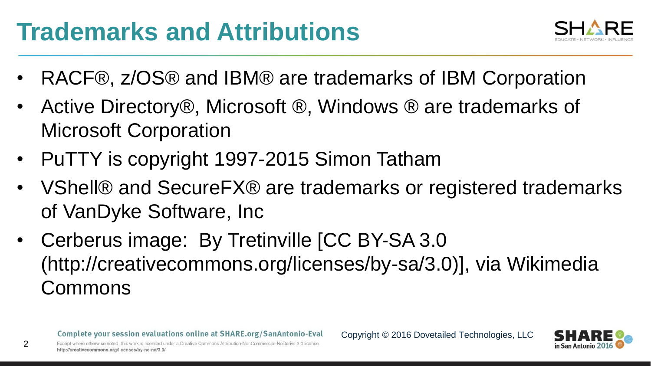### **Trademarks and Attributions**



- RACF®, z/OS® and IBM® are trademarks of IBM Corporation
- Active Directory®, Microsoft ®, Windows ® are trademarks of Microsoft Corporation
- PuTTY is copyright 1997-2015 Simon Tatham
- VShell® and SecureFX® are trademarks or registered trademarks of VanDyke Software, Inc
- Cerberus image: By Tretinville [CC BY-SA 3.0 (http://creativecommons.org/licenses/by-sa/3.0)], via Wikimedia Commons

http://creativecommons.org/licenses/by-nc-nd/3.0/

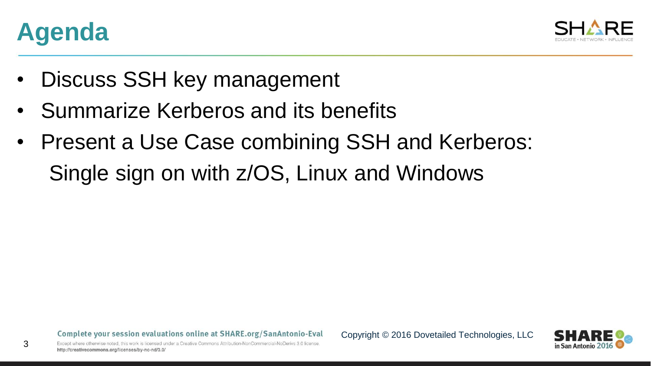

3



- Discuss SSH key management
- Summarize Kerberos and its benefits
- Present a Use Case combining SSH and Kerberos: Single sign on with z/OS, Linux and Windows

Complete your session evaluations online at SHARE.org/SanAntonio-Eval

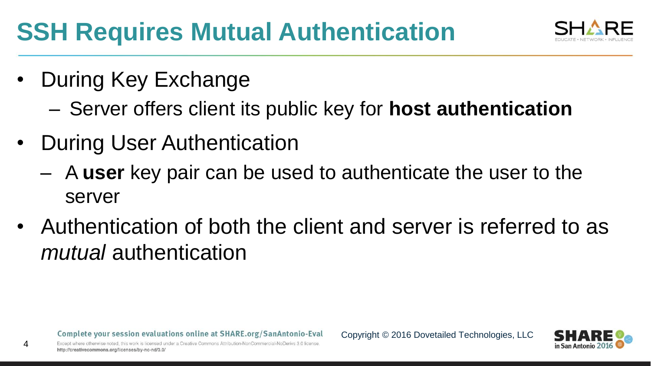## **SSH Requires Mutual Authentication**

- During Key Exchange
	- Server offers client its public key for **host authentication**
- During User Authentication
	- A **user** key pair can be used to authenticate the user to the server
- Authentication of both the client and server is referred to as *mutual* authentication



http://creativecommons.org/licenses/by-nc-nd/3.0/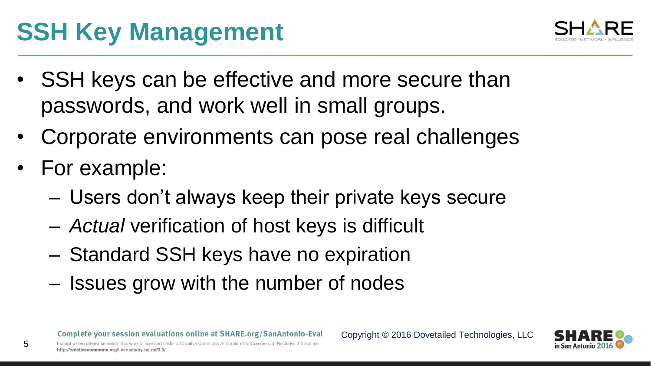## **SSH Key Management**



- SSH keys can be effective and more secure than passwords, and work well in small groups.
- Corporate environments can pose real challenges
- For example:

- Users don't always keep their private keys secure
- *Actual* verification of host keys is difficult
- Standard SSH keys have no expiration
- Issues grow with the number of nodes

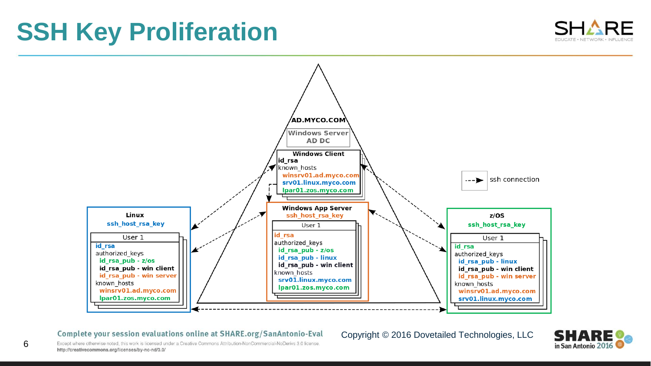### **SSH Key Proliferation**





#### Complete your session evaluations online at SHARE.org/SanAntonio-Eval

#### Copyright © 2016 Dovetailed Technologies, LLC



Except where otherwise noted, this work is licensed under a Creative Commons Attribution-NonCommercial-NoDeriys 3.0 license http://creativecommons.org/licenses/by-nc-nd/3.0/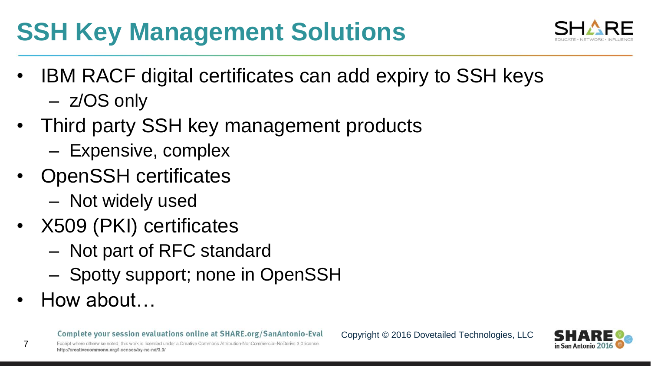## **SSH Key Management Solutions**



- IBM RACF digital certificates can add expiry to SSH keys
	- z/OS only
- Third party SSH key management products
	- Expensive, complex
- OpenSSH certificates
	- Not widely used
- X509 (PKI) certificates
	- Not part of RFC standard
	- Spotty support; none in OpenSSH
- How about…

http://creativecommons.org/licenses/by-nc-nd/3.0/

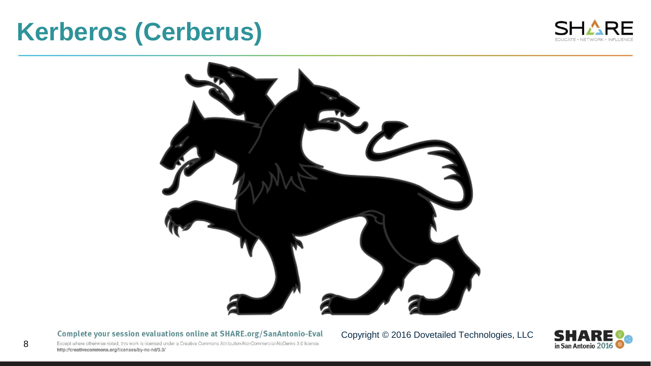### **Kerberos (Cerberus)**





Complete your session evaluations online at SHARE.org/SanAntonio-Eval

Copyright © 2016 Dovetailed Technologies, LLC



Except where otherwise noted, this work is licensed under a Creative Commons Attribution-NonCommercial-NoDerivs 3.0 license. http://creativecommons.org/licenses/by-nc-nd/3.0/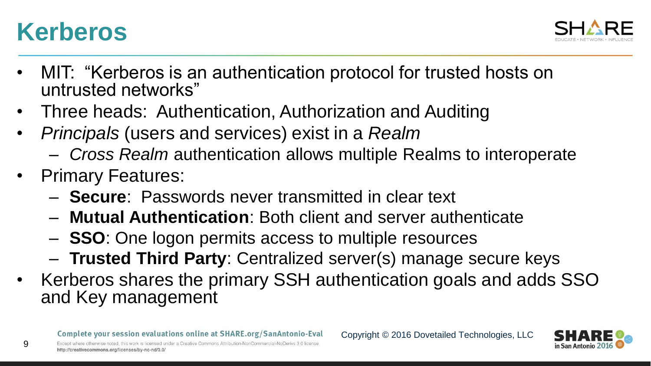



- MIT: "Kerberos is an authentication protocol for trusted hosts on untrusted networks"
- Three heads: Authentication, Authorization and Auditing
- *Principals* (users and services) exist in a *Realm*
	- *Cross Realm* authentication allows multiple Realms to interoperate
- Primary Features:
	- **Secure**: Passwords never transmitted in clear text
	- **Mutual Authentication**: Both client and server authenticate
	- **SSO**: One logon permits access to multiple resources
	- **Trusted Third Party**: Centralized server(s) manage secure keys
- Kerberos shares the primary SSH authentication goals and adds SSO and Key management

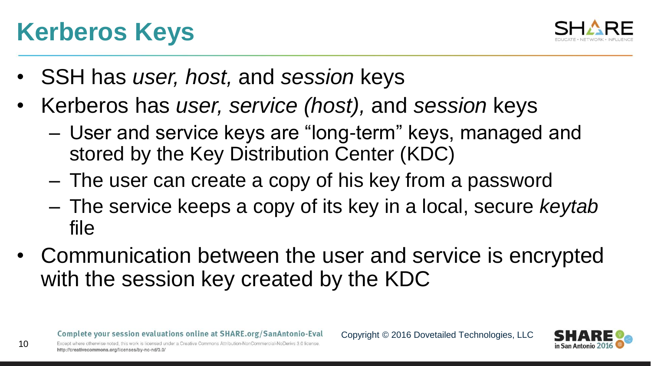#### Complete your session evaluations online at SHARE.org/SanAntonio-Eval

Except where otherwise noted, this work is licensed under a Creative Commons Attribution-NonCommercial-NoDeriys 3.0 license http://creativecommons.org/licenses/by-nc-nd/3.0/

### **Kerberos Keys**

- SSH has *user, host,* and *session* keys
- Kerberos has *user, service (host),* and *session* keys
	- User and service keys are "long-term" keys, managed and stored by the Key Distribution Center (KDC)
	- The user can create a copy of his key from a password
	- The service keeps a copy of its key in a local, secure *keytab* file

Copyright © 2016 Dovetailed Technologies, LLC

• Communication between the user and service is encrypted with the session key created by the KDC



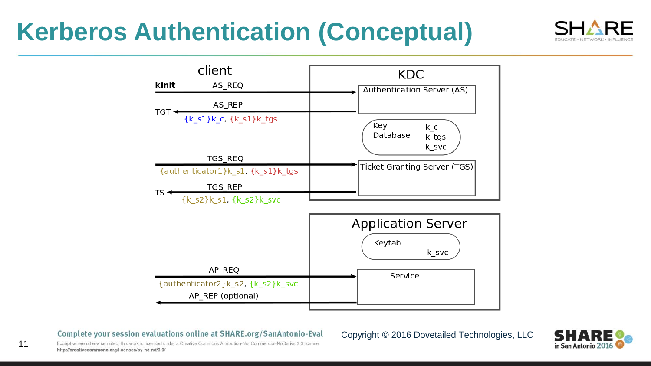### **Kerberos Authentication (Conceptual)**





Complete your session evaluations online at SHARE.org/SanAntonio-Eval



Except where otherwise noted, this work is licensed under a Creative Commons Attribution-NonCommercial-NoDerivs 3.0 license. http://creativecommons.org/licenses/by-nc-nd/3.0/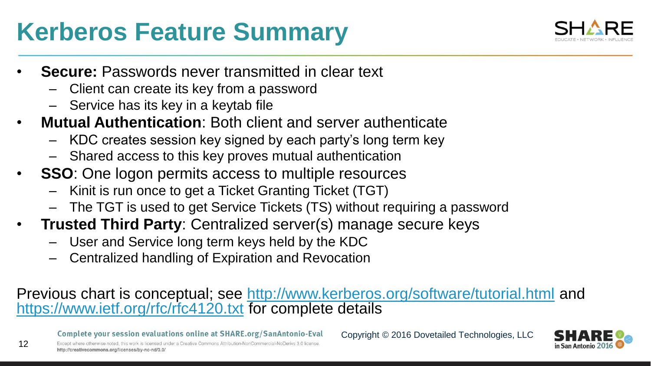### **Kerberos Feature Summary**



- **Secure:** Passwords never transmitted in clear text
	- Client can create its key from a password
	- Service has its key in a keytab file
- **Mutual Authentication**: Both client and server authenticate
	- KDC creates session key signed by each party's long term key
	- Shared access to this key proves mutual authentication
- **SSO**: One logon permits access to multiple resources
	- Kinit is run once to get a Ticket Granting Ticket (TGT)
	- The TGT is used to get Service Tickets (TS) without requiring a password
- **Trusted Third Party**: Centralized server(s) manage secure keys
	- User and Service long term keys held by the KDC
	- Centralized handling of Expiration and Revocation

### Previous chart is conceptual; see<http://www.kerberos.org/software/tutorial.html> and <https://www.ietf.org/rfc/rfc4120.txt> for complete details

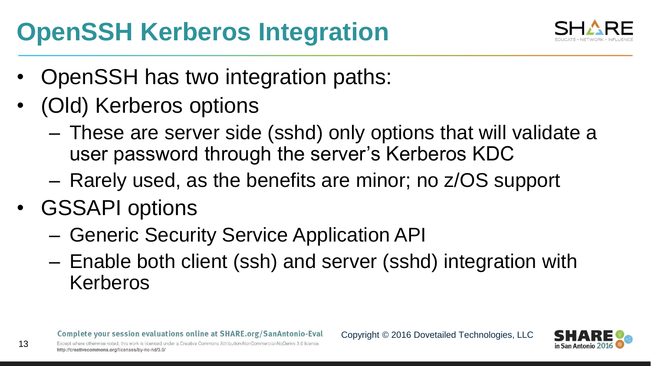## **OpenSSH Kerberos Integration**



- OpenSSH has two integration paths:
- (Old) Kerberos options
	- These are server side (sshd) only options that will validate a user password through the server's Kerberos KDC
	- Rarely used, as the benefits are minor; no z/OS support
- GSSAPI options

- Generic Security Service Application API
- Enable both client (ssh) and server (sshd) integration with Kerberos

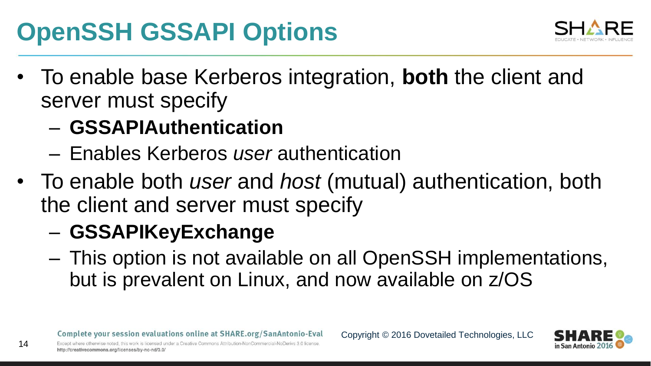## **OpenSSH GSSAPI Options**



- To enable base Kerberos integration, **both** the client and server must specify
	- **GSSAPIAuthentication**
	- Enables Kerberos *user* authentication
- To enable both *user* and *host* (mutual) authentication, both the client and server must specify
	- **GSSAPIKeyExchange**
	- This option is not available on all OpenSSH implementations, but is prevalent on Linux, and now available on z/OS

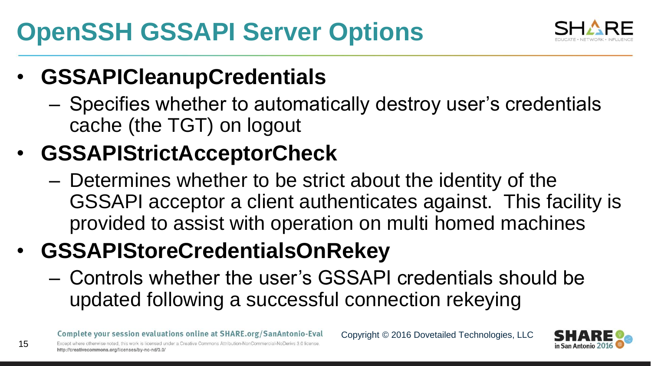## **OpenSSH GSSAPI Server Options**



### • **GSSAPICleanupCredentials**

– Specifies whether to automatically destroy user's credentials cache (the TGT) on logout

### • **GSSAPIStrictAcceptorCheck**

– Determines whether to be strict about the identity of the GSSAPI acceptor a client authenticates against. This facility is provided to assist with operation on multi homed machines

### • **GSSAPIStoreCredentialsOnRekey**

– Controls whether the user's GSSAPI credentials should be updated following a successful connection rekeying

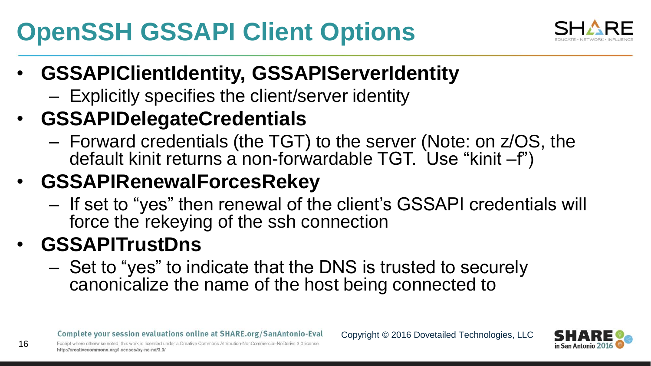# **OpenSSH GSSAPI Client Options**



### • **GSSAPIClientIdentity, GSSAPIServerIdentity**

– Explicitly specifies the client/server identity

### • **GSSAPIDelegateCredentials**

– Forward credentials (the TGT) to the server (Note: on z/OS, the default kinit returns a non-forwardable TGT. Use "kinit –f")

### • **GSSAPIRenewalForcesRekey**

– If set to "yes" then renewal of the client's GSSAPI credentials will force the rekeying of the ssh connection

### • **GSSAPITrustDns**

16

– Set to "yes" to indicate that the DNS is trusted to securely canonicalize the name of the host being connected to

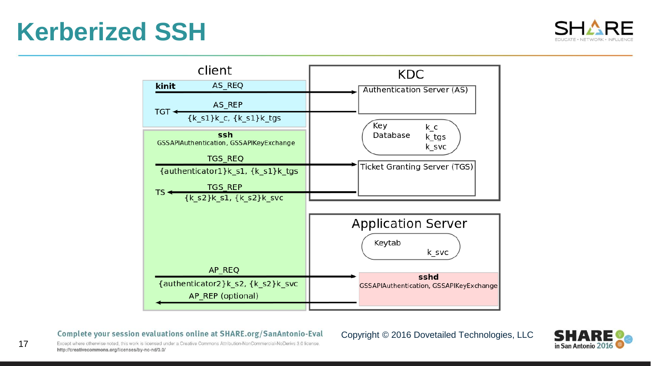### **Kerberized SSH**

17





#### Complete your session evaluations online at SHARE.org/SanAntonio-Eval



Except where otherwise noted, this work is licensed under a Creative Commons Attribution-NonCommercial-NoDerivs 3.0 license. http://creativecommons.org/licenses/by-nc-nd/3.0/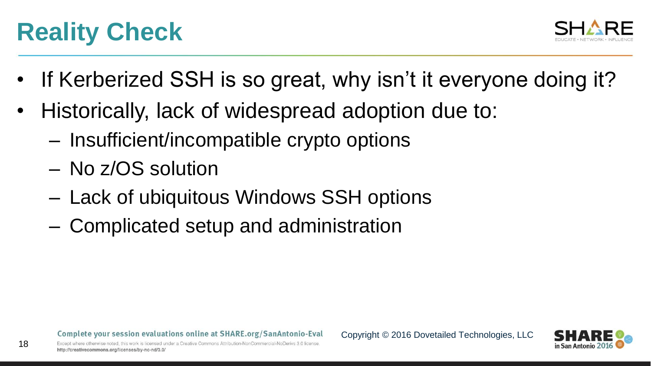### **Reality Check**



- If Kerberized SSH is so great, why isn't it everyone doing it?
- Historically, lack of widespread adoption due to:
	- Insufficient/incompatible crypto options
	- No z/OS solution
	- Lack of ubiquitous Windows SSH options
	- Complicated setup and administration

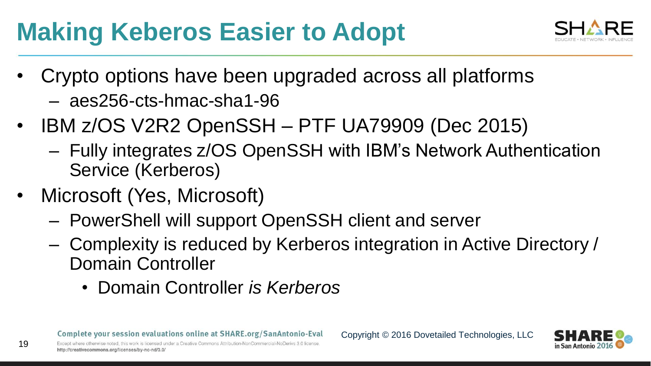## **Making Keberos Easier to Adopt**



- Crypto options have been upgraded across all platforms
	- aes256-cts-hmac-sha1-96
- IBM z/OS V2R2 OpenSSH PTF UA79909 (Dec 2015)
	- Fully integrates z/OS OpenSSH with IBM's Network Authentication Service (Kerberos)
- Microsoft (Yes, Microsoft)

- PowerShell will support OpenSSH client and server
- Complexity is reduced by Kerberos integration in Active Directory / Domain Controller
	- Domain Controller *is Kerberos*

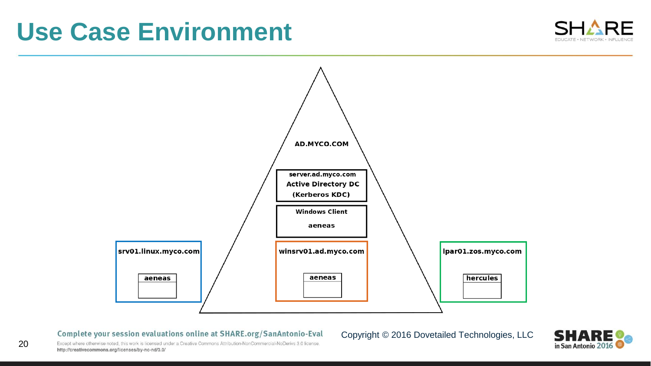### **Use Case Environment**





Complete your session evaluations online at SHARE.org/SanAntonio-Eval

Copyright © 2016 Dovetailed Technologies, LLC



Except where otherwise noted, this work is licensed under a Creative Commons Attribution-NonCommercial-NoDerivs 3.0 license. http://creativecommons.org/licenses/by-nc-nd/3.0/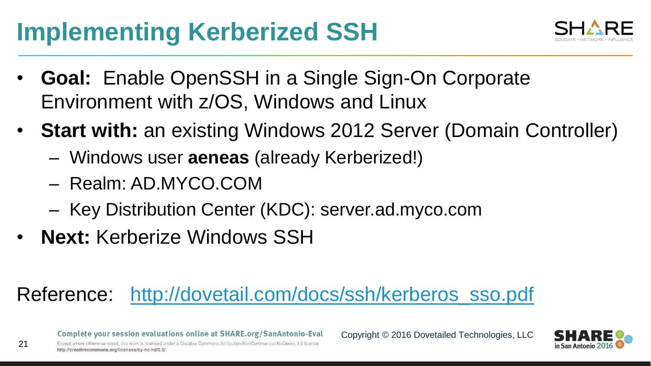### **Implementing Kerberized SSH**



- **Goal:** Enable OpenSSH in a Single Sign-On Corporate Environment with z/OS, Windows and Linux
- **Start with:** an existing Windows 2012 Server (Domain Controller)
	- Windows user **aeneas** (already Kerberized!)
	- Realm: AD.MYCO.COM
	- Key Distribution Center (KDC): server.ad.myco.com
- **Next:** Kerberize Windows SSH

### Reference: [http://dovetail.com/docs/ssh/kerberos\\_sso.pdf](http://dovetail.com/docs/ssh/kerberos_sso.pdf)

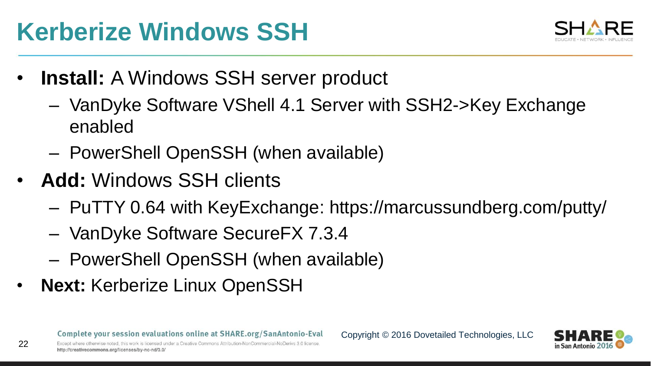### **Kerberize Windows SSH**



- **Install:** A Windows SSH server product
	- VanDyke Software VShell 4.1 Server with SSH2->Key Exchange enabled
	- PowerShell OpenSSH (when available)
- **Add:** Windows SSH clients
	- PuTTY 0.64 with KeyExchange: https://marcussundberg.com/putty/
	- VanDyke Software SecureFX 7.3.4
	- PowerShell OpenSSH (when available)
- **Next: Kerberize Linux OpenSSH**

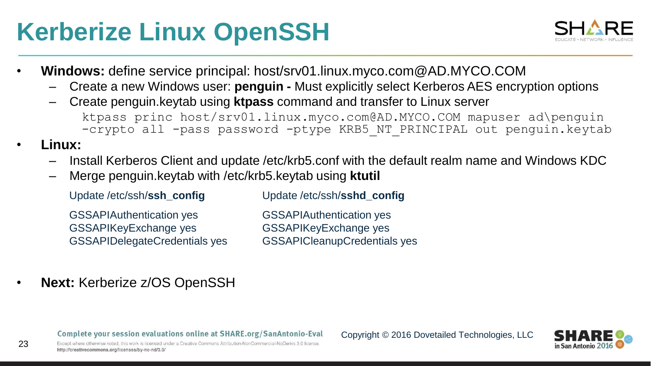## **Kerberize Linux OpenSSH**



- **Windows:** define service principal: host/srv01.linux.myco.com@AD.MYCO.COM
	- Create a new Windows user: **penguin -** Must explicitly select Kerberos AES encryption options
	- Create penguin.keytab using **ktpass** command and transfer to Linux server ktpass princ host/srv01.linux.myco.com@AD.MYCO.COM mapuser ad\penguin -crypto all -pass password -ptype KRB5 NT PRINCIPAL out penguin.keytab
- **Linux:**

23

- Install Kerberos Client and update /etc/krb5.conf with the default realm name and Windows KDC
- Merge penguin.keytab with /etc/krb5.keytab using **ktutil**

Update /etc/ssh/**ssh\_config** Update /etc/ssh/**sshd\_config**

GSSAPIAuthentication yes GSSAPIKeyExchange yes GSSAPIDelegateCredentials yes GSSAPIAuthentication yes GSSAPIKeyExchange yes GSSAPICleanupCredentials yes

**Next: Kerberize z/OS OpenSSH** 

Complete your session evaluations online at SHARE.org/SanAntonio-Eval



Except where otherwise noted this work is licensed under a Creative Commons Attribution-NonCommercial-NoDerivs 3.0 license http://creativecommons.org/licenses/by-nc-nd/3.0/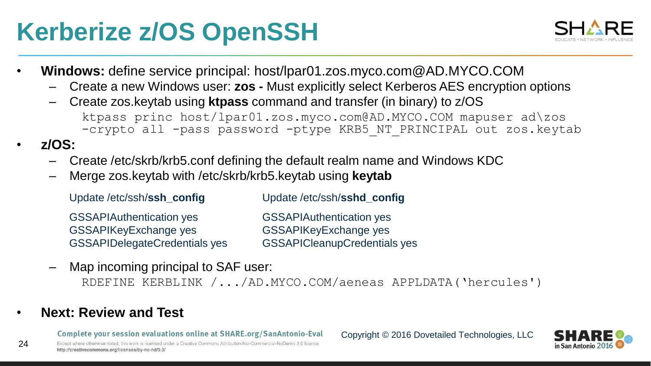### **Kerberize z/OS OpenSSH**



- **Windows:** define service principal: host/lpar01.zos.myco.com@AD.MYCO.COM
	- Create a new Windows user: **zos -** Must explicitly select Kerberos AES encryption options
	- Create zos.keytab using **ktpass** command and transfer (in binary) to z/OS ktpass princ host/lpar01.zos.myco.com@AD.MYCO.COM mapuser ad\zos -crypto all -pass password -ptype KRB5 NT PRINCIPAL out zos.keytab
- **z/OS:**

24

- Create /etc/skrb/krb5.conf defining the default realm name and Windows KDC
- Merge zos.keytab with /etc/skrb/krb5.keytab using **keytab**

| Update/etc/ssh/ssh_config       | Update/etc/ssh/sshd_config        |
|---------------------------------|-----------------------------------|
| <b>GSSAPIAuthentication yes</b> | <b>GSSAPIAuthentication yes</b>   |
| <b>GSSAPIKeyExchange yes</b>    | <b>GSSAPIKeyExchange yes</b>      |
| GSSAPIDelegateCredentials yes   | <b>GSSAPICleanupCredentials y</b> |

**ide ves** GSSAPICleanupCredentials yes

Map incoming principal to SAF user:

RDEFINE KERBLINK /.../AD.MYCO.COM/aeneas APPLDATA('hercules')

• **Next: Review and Test**

Complete your session evaluations online at SHARE.org/SanAntonio-Eval

Except where otherwise noted, this work is licensed under a Creative Commons Attribution-NonCommercial-NoDeriys 3.0 license http://creativecommons.org/licenses/by-nc-nd/3.0/

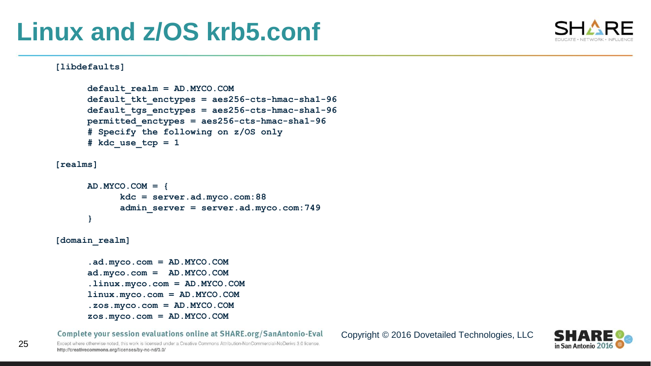### **Linux and z/OS krb5.conf**



#### **[libdefaults]**

```
default_realm = AD.MYCO.COM
default_tkt_enctypes = aes256-cts-hmac-sha1-96
default_tgs_enctypes = aes256-cts-hmac-sha1-96
permitted_enctypes = aes256-cts-hmac-sha1-96
# Specify the following on z/OS only
# kdc use tcp = 1
```
**[realms]**

25

```
AD.MYCO.COM = {
       kdc = server.ad.myco.com:88
       admin_server = server.ad.myco.com:749
}
```
**[domain\_realm]**

```
.ad.myco.com = AD.MYCO.COM
ad.myco.com = AD.MYCO.COM
.linux.myco.com = AD.MYCO.COM
linux.myco.com = AD.MYCO.COM
.zos.myco.com = AD.MYCO.COM
zos.myco.com = AD.MYCO.COM
```
Complete your session evaluations online at SHARE.org/SanAntonio-Eval

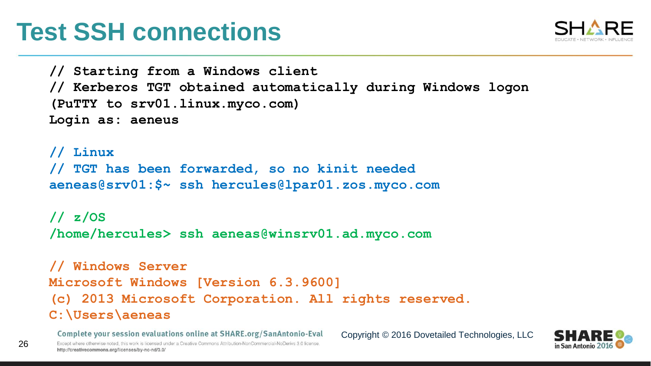### **Test SSH connections**



**// Starting from a Windows client // Kerberos TGT obtained automatically during Windows logon (PuTTY to srv01.linux.myco.com) Login as: aeneus**

**// Linux // TGT has been forwarded, so no kinit needed aeneas@srv01:\$~ ssh hercules@lpar01.zos.myco.com**

**// z/OS /home/hercules> ssh aeneas@winsrv01.ad.myco.com**

**// Windows Server Microsoft Windows [Version 6.3.9600] (c) 2013 Microsoft Corporation. All rights reserved. C:\Users\aeneas**

Complete your session evaluations online at SHARE.org/SanAntonio-Eval Except where otherwise noted, this work is licensed under a Creative Commons Attribution-NonCommercial-NoDeriys 3.0 license http://creativecommons.org/licenses/by-nc-nd/3.0/

26

Copyright © 2016 Dovetailed Technologies, LLC

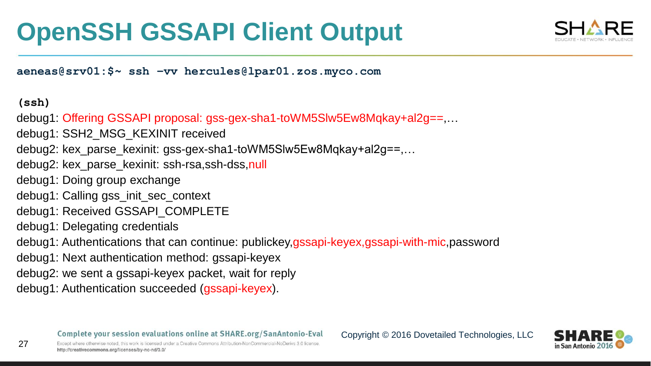### **OpenSSH GSSAPI Client Output**



**aeneas@srv01:\$~ ssh –vv hercules@lpar01.zos.myco.com**

#### **(ssh)**

- debug1: Offering GSSAPI proposal: gss-gex-sha1-toWM5SIw5Ew8Mgkay+al2g==,...
- debug1: SSH2\_MSG\_KEXINIT received
- debug2: kex\_parse\_kexinit: gss-gex-sha1-toWM5Slw5Ew8Mqkay+al2g==,…
- debug2: kex\_parse\_kexinit: ssh-rsa,ssh-dss,null
- debug1: Doing group exchange
- debug1: Calling gss\_init\_sec\_context
- debug1: Received GSSAPI\_COMPLETE
- debug1: Delegating credentials
- debug1: Authentications that can continue: publickey,gssapi-keyex,gssapi-with-mic,password
- debug1: Next authentication method: gssapi-keyex
- debug2: we sent a gssapi-keyex packet, wait for reply
- debug1: Authentication succeeded (gssapi-keyex).

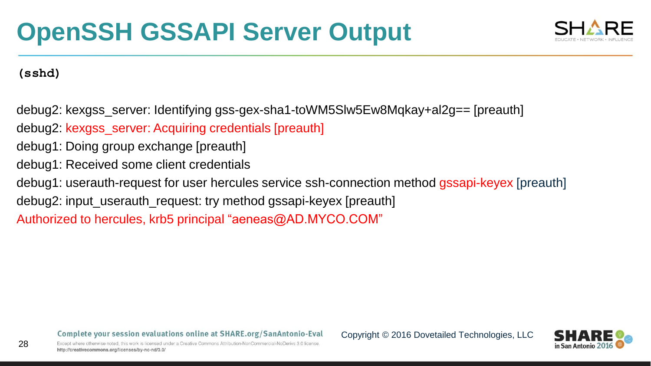

**(sshd)**

28

debug2: kexgss\_server: Identifying gss-gex-sha1-toWM5Slw5Ew8Mqkay+al2g== [preauth]

debug2: kexgss\_server: Acquiring credentials [preauth]

debug1: Doing group exchange [preauth]

debug1: Received some client credentials

debug1: userauth-request for user hercules service ssh-connection method gssapi-keyex [preauth]

debug2: input\_userauth\_request: try method gssapi-keyex [preauth]

Authorized to hercules, krb5 principal "aeneas@AD.MYCO.COM"

Complete your session evaluations online at SHARE.org/SanAntonio-Eval

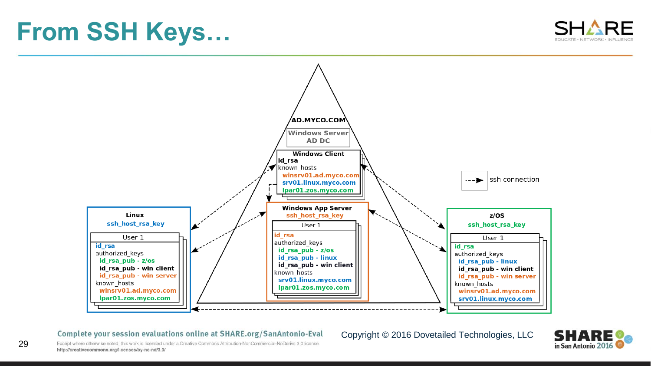### **From SSH Keys…**





#### Complete your session evaluations online at SHARE.org/SanAntonio-Eval

#### Copyright © 2016 Dovetailed Technologies, LLC



Except where otherwise noted, this work is licensed under a Creative Commons Attribution-NonCommercial-NoDerivs 3.0 license. http://creativecommons.org/licenses/by-nc-nd/3.0/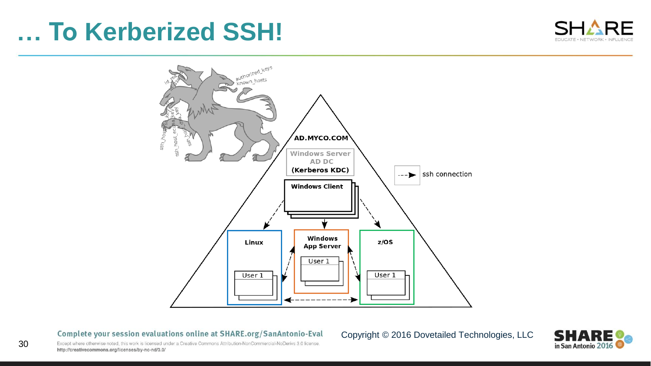### **… To Kerberized SSH!**





#### Complete your session evaluations online at SHARE.org/SanAntonio-Eval

#### Copyright © 2016 Dovetailed Technologies, LLC



Except where otherwise noted, this work is licensed under a Creative Commons Attribution-NonCommercial-NoDerivs 3.0 license. http://creativecommons.org/licenses/by-nc-nd/3.0/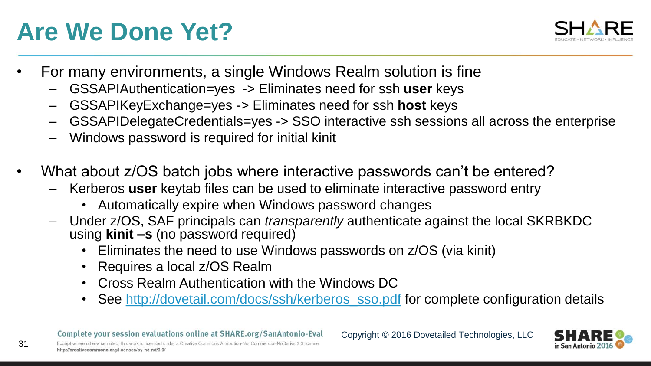### **Are We Done Yet?**



- For many environments, a single Windows Realm solution is fine
	- GSSAPIAuthentication=yes -> Eliminates need for ssh **user** keys
	- GSSAPIKeyExchange=yes -> Eliminates need for ssh **host** keys
	- GSSAPIDelegateCredentials=yes -> SSO interactive ssh sessions all across the enterprise
	- Windows password is required for initial kinit
- What about z/OS batch jobs where interactive passwords can't be entered?
	- Kerberos **user** keytab files can be used to eliminate interactive password entry
		- Automatically expire when Windows password changes
	- Under z/OS, SAF principals can *transparently* authenticate against the local SKRBKDC using **kinit –s** (no password required)
		- Eliminates the need to use Windows passwords on z/OS (via kinit)
		- Requires a local z/OS Realm
		- Cross Realm Authentication with the Windows DC
		- See [http://dovetail.com/docs/ssh/kerberos\\_sso.pdf](http://dovetail.com/docs/ssh/kerberos_sso.pdf) for complete configuration details